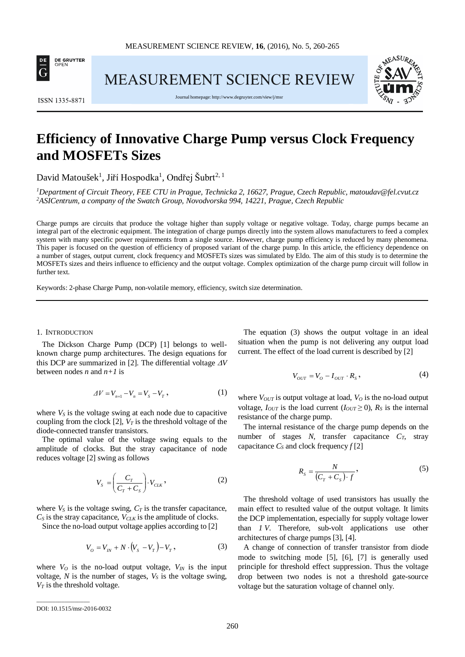

**MEASUREMENT SCIENCE REVIEW** 



**ISSN 1335-8871** 

Journal homepage[: http://www.degruyter.com/view/j/msr](http://www.degruyter.com/view/j/msr)

# **Efficiency of Innovative Charge Pump versus Clock Frequency and MOSFETs Sizes**

David Matoušek<sup>1</sup>, Jiří Hospodka<sup>1</sup>, Ondřej Šubrt<sup>2, 1</sup>

*1 Department of Circuit Theory, FEE CTU in Prague, Technicka 2, 16627, Prague, Czech Republic, matoudav@fel.cvut.cz 2 ASICentrum, a company of the Swatch Group, Novodvorska 994, 14221, Prague, Czech Republic*

Charge pumps are circuits that produce the voltage higher than supply voltage or negative voltage. Today, charge pumps became an integral part of the electronic equipment. The integration of charge pumps directly into the system allows manufacturers to feed a complex system with many specific power requirements from a single source. However, charge pump efficiency is reduced by many phenomena. This paper is focused on the question of efficiency of proposed variant of the charge pump. In this article, the efficiency dependence on a number of stages, output current, clock frequency and MOSFETs sizes was simulated by Eldo. The aim of this study is to determine the MOSFETs sizes and theirs influence to efficiency and the output voltage. Complex optimization of the charge pump circuit will follow in further text.

Keywords: 2-phase Charge Pump, non-volatile memory, efficiency, switch size determination.

#### 1. INTRODUCTION

The Dickson Charge Pump (DCP) [1] belongs to wellknown charge pump architectures. The design equations for this DCP are summarized in [2]. The differential voltage ∆*V* between nodes *n* and *n+1* is

$$
\Delta V = V_{n+1} - V_n = V_s - V_T, \qquad (1)
$$

where  $V<sub>S</sub>$  is the voltage swing at each node due to capacitive coupling from the clock  $[2]$ ,  $V_T$  is the threshold voltage of the diode-connected transfer transistors.

The optimal value of the voltage swing equals to the amplitude of clocks. But the stray capacitance of node reduces voltage [2] swing as follows

$$
V_s = \left(\frac{C_T}{C_T + C_s}\right) \cdot V_{\text{CLK}}\,,\tag{2}
$$

where  $V_S$  is the voltage swing,  $C_T$  is the transfer capacitance,  $C_S$  is the stray capacitance,  $V_{CLK}$  is the amplitude of clocks.

Since the no-load output voltage applies according to [2]

$$
V_o = V_{IN} + N \cdot (V_s - V_T) - V_T, \qquad (3)
$$

where  $V_O$  is the no-load output voltage,  $V_{IN}$  is the input voltage,  $N$  is the number of stages,  $V_S$  is the voltage swing,  $V_T$  is the threshold voltage.

The equation (3) shows the output voltage in an ideal situation when the pump is not delivering any output load current. The effect of the load current is described by [2]

$$
V_{OUT} = V_O - I_{OUT} \cdot R_S,
$$
\n<sup>(4)</sup>

where  $V_{OUT}$  is output voltage at load,  $V_O$  is the no-load output voltage,  $I_{OUT}$  is the load current  $(I_{OUT} \ge 0)$ ,  $R_S$  is the internal resistance of the charge pump.

The internal resistance of the charge pump depends on the number of stages *N*, transfer capacitance *CT*, stray capacitance  $C_S$  and clock frequency  $f[2]$ 

$$
R_{S} = \frac{N}{(C_{T} + C_{S}) \cdot f}, \tag{5}
$$

The threshold voltage of used transistors has usually the main effect to resulted value of the output voltage. It limits the DCP implementation, especially for supply voltage lower than *1 V*. Therefore, sub-volt applications use other architectures of charge pumps [3], [4].

A change of connection of transfer transistor from diode mode to switching mode [5], [6], [7] is generally used principle for threshold effect suppression. Thus the voltage drop between two nodes is not a threshold gate-source voltage but the saturation voltage of channel only.

\_\_\_\_\_\_\_\_\_\_\_\_\_\_\_\_\_

DOI: 10.1515/msr-2016-0032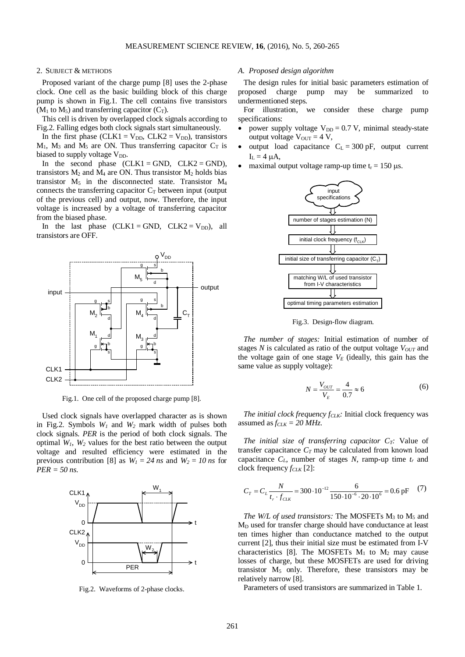#### 2. SUBJECT & METHODS

Proposed variant of the charge pump [8] uses the 2-phase clock. One cell as the basic building block of this charge pump is shown in Fig.1. The cell contains five transistors  $(M_1 \text{ to } M_5)$  and transferring capacitor  $(C_T)$ .

This cell is driven by overlapped clock signals according to Fig.2. Falling edges both clock signals start simultaneously.

In the first phase (CLK1 =  $V_{DD}$ , CLK2 =  $V_{DD}$ ), transistors  $M_1$ ,  $M_3$  and  $M_5$  are ON. Thus transferring capacitor  $C_T$  is biased to supply voltage  $V_{DD}$ .

In the second phase  $(CLK1 = GND, CLK2 = GND)$ , transistors  $M_2$  and  $M_4$  are ON. Thus transistor  $M_2$  holds bias transistor  $M_5$  in the disconnected state. Transistor  $M_4$ connects the transferring capacitor  $C_T$  between input (output of the previous cell) and output, now. Therefore, the input voltage is increased by a voltage of transferring capacitor from the biased phase.

In the last phase  $(CLK1 = GND, CLK2 = V_{DD}),$  all transistors are OFF.



Fig.1. One cell of the proposed charge pump [8].

Used clock signals have overlapped character as is shown in Fig.2. Symbols  $W_l$  and  $W_2$  mark width of pulses both clock signals. *PER* is the period of both clock signals. The optimal *W1*, *W2* values for the best ratio between the output voltage and resulted efficiency were estimated in the previous contribution [8] as  $W_1 = 24$  *ns* and  $W_2 = 10$  *ns* for *PER = 50 ns*.



Fig.2. Waveforms of 2-phase clocks.

## *A. Proposed design algorithm*

The design rules for initial basic parameters estimation of proposed charge pump may be summarized to undermentioned steps.

For illustration, we consider these charge pump specifications:

- power supply voltage  $V_{DD} = 0.7$  V, minimal steady-state output voltage  $V_{\text{OUT}} = 4 V$ ,
- output load capacitance  $C_L = 300 \text{ pF}$ , output current  $I_L = 4 \mu A$ ,
- maximal output voltage ramp-up time  $t_r = 150 \mu s$ .



Fig.3. Design-flow diagram.

*The number of stages:* Initial estimation of number of stages  $N$  is calculated as ratio of the output voltage  $V_{OUT}$  and the voltage gain of one stage  $V_E$  (ideally, this gain has the same value as supply voltage):

$$
N = \frac{V_{OUT}}{V_E} = \frac{4}{0.7} \approx 6\tag{6}
$$

*The initial clock frequency f<sub>CLK</sub>:* Initial clock frequency was assumed as  $f_{CLK} = 20 MHz$ .

*The initial size of transferring capacitor*  $C_T$ *:* Value of transfer capacitance  $C_T$  may be calculated from known load capacitance  $C_L$ , number of stages  $N$ , ramp-up time  $t_r$  and clock frequency  $f_{CLK}$  [2]:

$$
C_r = C_L \frac{N}{t_r \cdot f_{CLK}} = 300 \cdot 10^{-12} \frac{6}{150 \cdot 10^{-6} \cdot 20 \cdot 10^6} = 0.6 \text{ pF} \tag{7}
$$

*The W/L of used transistors:* The MOSFETs M<sub>3</sub> to M<sub>5</sub> and MD used for transfer charge should have conductance at least ten times higher than conductance matched to the output current [2], thus their initial size must be estimated from I-V characteristics [8]. The MOSFETs  $M_1$  to  $M_2$  may cause losses of charge, but these MOSFETs are used for driving transistor  $M_5$  only. Therefore, these transistors may be relatively narrow [8].

Parameters of used transistors are summarized in Table 1.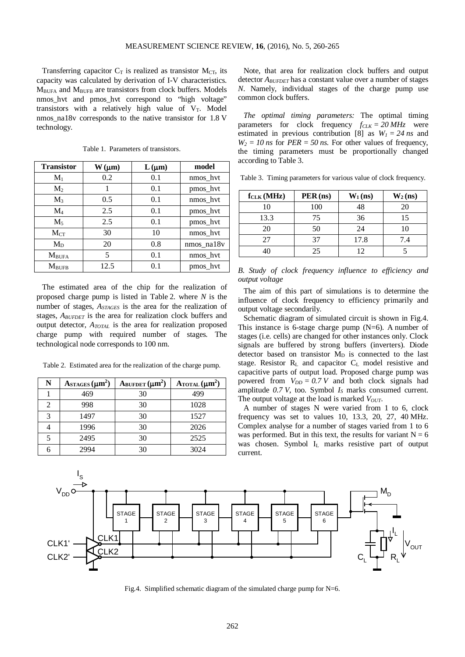Transferring capacitor  $C_T$  is realized as transistor  $M_{CT}$ , its capacity was calculated by derivation of I-V characteristics. MBUFA and MBUFB are transistors from clock buffers. Models nmos\_hvt and pmos\_hvt correspond to "high voltage" transistors with a relatively high value of  $V_T$ . Model nmos\_na18v corresponds to the native transistor for 1.8 V technology.

| <b>Transistor</b> | $W(\mu m)$ | $L(\mu m)$ | model      |
|-------------------|------------|------------|------------|
| $M_1$             | 0.2        | 0.1        | nmos_hvt   |
| M <sub>2</sub>    | 1          | 0.1        | pmos hvt   |
| $M_3$             | 0.5        | 0.1        | nmos_hvt   |
| $\rm M_4$         | 2.5        | 0.1        | pmos_hvt   |
| $M_5$             | 2.5        | 0.1        | pmos_hvt   |
| $M_{CT}$          | 30         | 10         | nmos hvt   |
| $M_D$             | 20         | 0.8        | nmos na18v |
| $M_{\rm BUFA}$    | 5          | 0.1        | nmos hvt   |
| $M_{\rm{BUEB}}$   | 12.5       | 0.1        | pmos_hvt   |

Table 1. Parameters of transistors.

The estimated area of the chip for the realization of proposed charge pump is listed in Table 2. where *N* is the number of stages, *ASTAGES* is the area for the realization of stages, *ABUFDET* is the area for realization clock buffers and output detector, *ATOTAL* is the area for realization proposed charge pump with required number of stages. The technological node corresponds to 100 nm.

Table 2. Estimated area for the realization of the charge pump.

| N | ASTAGES $(\mu m^2)$ | ABUFDET $(\mu m^2)$ | $\text{A_{\text{TOTAL}}}(\mu \text{m}^2)$ |
|---|---------------------|---------------------|-------------------------------------------|
|   | 469                 | 30                  | 499                                       |
| 2 | 998                 | 30                  | 1028                                      |
| 3 | 1497                | 30                  | 1527                                      |
|   | 1996                | 30                  | 2026                                      |
| 5 | 2495                | 30                  | 2525                                      |
| 6 | 2994                | 30                  | 3024                                      |

Note, that area for realization clock buffers and output detector *ABUFDET* has a constant value over a number of stages *N*. Namely, individual stages of the charge pump use common clock buffers.

*The optimal timing parameters:* The optimal timing parameters for clock frequency  $f_{CLK} = 20 MHz$  were estimated in previous contribution [8] as  $W_1 = 24$  *ns* and  $W_2 = 10$  *ns* for  $PER = 50$  *ns*. For other values of frequency, the timing parameters must be proportionally changed according to Table 3.

| f <sub>CLK</sub> (MHz) | $PER$ (ns) | $W_1$ (ns) | $W_2$ (ns) |
|------------------------|------------|------------|------------|
| 10                     | 100        | 48         | 20         |
| 13.3                   | 75         | 36         | 15         |
| 20                     | 50         | 24         | 10         |
| 27                     | 37         | 17.8       | 7.4        |
| 40                     | 25         | 12         |            |

Table 3. Timing parameters for various value of clock frequency.

|                       |  | B. Study of clock frequency influence to efficiency and |  |  |
|-----------------------|--|---------------------------------------------------------|--|--|
| <i>output voltage</i> |  |                                                         |  |  |

The aim of this part of simulations is to determine the influence of clock frequency to efficiency primarily and output voltage secondarily.

Schematic diagram of simulated circuit is shown in Fig.4. This instance is 6-stage charge pump  $(N=6)$ . A number of stages (i.e. cells) are changed for other instances only. Clock signals are buffered by strong buffers (inverters). Diode detector based on transistor  $M<sub>D</sub>$  is connected to the last stage. Resistor RL and capacitor CL model resistive and capacitive parts of output load. Proposed charge pump was powered from  $V_{DD} = 0.7 V$  and both clock signals had amplitude  $0.7$  *V*, too. Symbol  $I_s$  marks consumed current. The output voltage at the load is marked *V<sub>OUT</sub>*.

A number of stages N were varied from 1 to 6, clock frequency was set to values 10, 13.3, 20, 27, 40 MHz. Complex analyse for a number of stages varied from 1 to 6 was performed. But in this text, the results for variant  $N = 6$ was chosen. Symbol I<sub>L</sub> marks resistive part of output current.



Fig.4. Simplified schematic diagram of the simulated charge pump for N=6.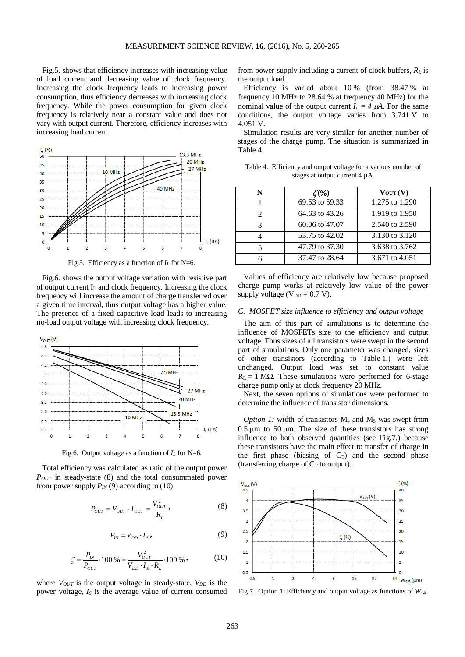Fig.5. shows that efficiency increases with increasing value of load current and decreasing value of clock frequency. Increasing the clock frequency leads to increasing power consumption, thus efficiency decreases with increasing clock frequency. While the power consumption for given clock frequency is relatively near a constant value and does not vary with output current. Therefore, efficiency increases with increasing load current.



Fig.5. Efficiency as a function of  $I_L$  for N=6.

Fig.6. shows the output voltage variation with resistive part of output current  $I_L$  and clock frequency. Increasing the clock frequency will increase the amount of charge transferred over a given time interval, thus output voltage has a higher value. The presence of a fixed capacitive load leads to increasing no-load output voltage with increasing clock frequency.



Fig.6. Output voltage as a function of  $I_L$  for N=6.

Total efficiency was calculated as ratio of the output power *P<sub>OUT</sub>* in steady-state (8) and the total consummated power from power supply  $P_{IN}(9)$  according to (10)

$$
P_{OUT} = V_{OUT} \cdot I_{OUT} = \frac{V_{OUT}^2}{R_L},
$$
\n(8)

$$
P_{IN} = V_{DD} \cdot I_s \,,\tag{9}
$$

$$
\zeta = \frac{P_{IN}}{P_{OUT}} \cdot 100\% = \frac{V_{OUT}^2}{V_{DD} \cdot I_S \cdot R_L} \cdot 100\% \,,\tag{10}
$$

where *V<sub>OUT</sub>* is the output voltage in steady-state, *V<sub>DD</sub>* is the power voltage, *I<sub>S</sub>* is the average value of current consumed from power supply including a current of clock buffers, *RL* is the output load.

Efficiency is varied about 10 % (from 38.47 % at frequency 10 MHz to 28.64 % at frequency 40 MHz) for the nominal value of the output current  $I_L = 4 \mu A$ . For the same conditions, the output voltage varies from 3.741 V to 4.051 V.

Simulation results are very similar for another number of stages of the charge pump. The situation is summarized in Table 4.

Table 4. Efficiency and output voltage for a various number of stages at output current 4 µA.

| N                           | $\zeta(\% )$   | $V_{OUT}(V)$   |
|-----------------------------|----------------|----------------|
|                             | 69.53 to 59.33 | 1.275 to 1.290 |
| $\mathcal{D}_{\mathcal{L}}$ | 64.63 to 43.26 | 1.919 to 1.950 |
| 3                           | 60.06 to 47.07 | 2.540 to 2.590 |
|                             | 53.75 to 42.02 | 3.130 to 3.120 |
| 5                           | 47.79 to 37.30 | 3.638 to 3.762 |
|                             | 37.47 to 28.64 | 3.671 to 4.051 |

Values of efficiency are relatively low because proposed charge pump works at relatively low value of the power supply voltage ( $V_{DD} = 0.7$  V).

## *C. MOSFET size influence to efficiency and output voltage*

The aim of this part of simulations is to determine the influence of MOSFETs size to the efficiency and output voltage. Thus sizes of all transistors were swept in the second part of simulations. Only one parameter was changed, sizes of other transistors (according to Table 1.) were left unchanged. Output load was set to constant value  $R<sub>L</sub> = 1 M<sub>Omega</sub>$ . These simulations were performed for 6-stage charge pump only at clock frequency 20 MHz.

Next, the seven options of simulations were performed to determine the influence of transistor dimensions.

*Option 1:* width of transistors  $M_4$  and  $M_5$  was swept from  $0.5 \mu m$  to  $50 \mu m$ . The size of these transistors has strong influence to both observed quantities (see Fig.7.) because these transistors have the main effect to transfer of charge in the first phase (biasing of  $C_T$ ) and the second phase (transferring charge of  $C_T$  to output).



Fig.7. Option 1: Efficiency and output voltage as functions of *W4,5*.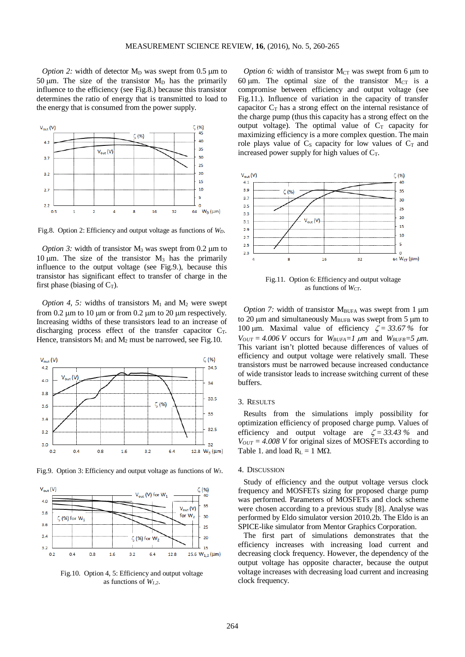*Option* 2: width of detector  $M_D$  was swept from 0.5  $\mu$ m to 50  $\mu$ m. The size of the transistor M<sub>D</sub> has the primarily influence to the efficiency (see Fig.8.) because this transistor determines the ratio of energy that is transmitted to load to the energy that is consumed from the power supply.



Fig.8. Option 2: Efficiency and output voltage as functions of *WD*.

*Option* 3: width of transistor  $M_3$  was swept from 0.2  $\mu$ m to 10  $\mu$ m. The size of the transistor  $M_3$  has the primarily influence to the output voltage (see Fig.9.), because this transistor has significant effect to transfer of charge in the first phase (biasing of  $C_T$ ).

*Option 4, 5:* widths of transistors  $M_1$  and  $M_2$  were swept from  $0.2 \mu m$  to  $10 \mu m$  or from  $0.2 \mu m$  to  $20 \mu m$  respectively. Increasing widths of these transistors lead to an increase of discharging process effect of the transfer capacitor  $C_T$ . Hence, transistors  $M_1$  and  $M_2$  must be narrowed, see Fig.10.



Fig.9. Option 3: Efficiency and output voltage as functions of *W3*.



Fig.10. Option 4, 5: Efficiency and output voltage as functions of *W1,2*.

*Option* 6: width of transistor  $M_{CT}$  was swept from 6  $\mu$ m to 60  $\mu$ m. The optimal size of the transistor M<sub>CT</sub> is a compromise between efficiency and output voltage (see Fig.11.). Influence of variation in the capacity of transfer capacitor  $C_T$  has a strong effect on the internal resistance of the charge pump (thus this capacity has a strong effect on the output voltage). The optimal value of  $C_T$  capacity for maximizing efficiency is a more complex question. The main role plays value of  $C_S$  capacity for low values of  $C_T$  and increased power supply for high values of  $C_T$ .



Fig.11. Option 6: Efficiency and output voltage as functions of *WCT*.

*Option* 7: width of transistor  $M_{BUFA}$  was swept from 1  $\mu$ m to 20  $\mu$ m and simultaneously M<sub>BUFB</sub> was swept from 5  $\mu$ m to 100 μm. Maximal value of efficiency  $\zeta = 33.67\%$  for  $V_{OUT} = 4.006$  *V* occurs for  $W_{BUFA} = 1 \mu m$  and  $W_{BUFB} = 5 \mu m$ . This variant isn't plotted because differences of values of efficiency and output voltage were relatively small. These transistors must be narrowed because increased conductance of wide transistor leads to increase switching current of these buffers.

## 3. RESULTS

Results from the simulations imply possibility for optimization efficiency of proposed charge pump. Values of efficiency and output voltage are  $\zeta = 33.43\%$  and  $V_{OUT} = 4.008$  *V* for original sizes of MOSFETs according to Table 1. and load  $R<sub>L</sub> = 1 M<sub>Omega</sub>$ .

#### 4. DISCUSSION

Study of efficiency and the output voltage versus clock frequency and MOSFETs sizing for proposed charge pump was performed. Parameters of MOSFETs and clock scheme were chosen according to a previous study [8]. Analyse was performed by Eldo simulator version 2010.2b. The Eldo is an SPICE-like simulator from Mentor Graphics Corporation.

The first part of simulations demonstrates that the efficiency increases with increasing load current and decreasing clock frequency. However, the dependency of the output voltage has opposite character, because the output voltage increases with decreasing load current and increasing clock frequency.